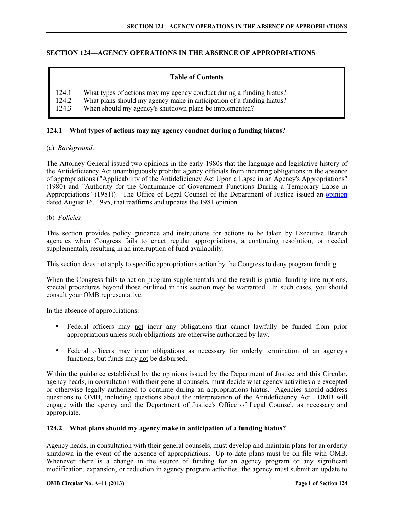# **SECTION 124—AGENCY OPERATIONS IN THE ABSENCE OF APPROPRIATIONS**

### **Table of Contents**

- 124.1 What types of actions may my agency conduct during a funding hiatus?
- 124.2 What plans should my agency make in anticipation of a funding hiatus?
- 124.3 When should my agency's shutdown plans be implemented?

#### **124.1 What types of actions may my agency conduct during a funding hiatus?**

(a) *Background*.

The Attorney General issued two opinions in the early 1980s that the language and legislative history of the Antideficiency Act unambiguously prohibit agency officials from incurring obligations in the absence of appropriations ("Applicability of the Antideficiency Act Upon a Lapse in an Agency's Appropriations" (1980) and "Authority for the Continuance of Government Functions During a Temporary Lapse in Appropriations" (1981)). The Office of Legal Counsel of the Department of Justice issued an [opinion](http://www.justice.gov/olc/appropriations2.htm) dated August 16, 1995, that reaffirms and updates the 1981 opinion.

(b) *Policies*.

This section provides policy guidance and instructions for actions to be taken by Executive Branch agencies when Congress fails to enact regular appropriations, a continuing resolution, or needed supplementals, resulting in an interruption of fund availability.

This section does <u>not</u> apply to specific appropriations action by the Congress to deny program funding.

When the Congress fails to act on program supplementals and the result is partial funding interruptions, special procedures beyond those outlined in this section may be warranted. In such cases, you should consult your OMB representative.

In the absence of appropriations:

- Federal officers may not incur any obligations that cannot lawfully be funded from prior appropriations unless such obligations are otherwise authorized by law.
- Federal officers may incur obligations as necessary for orderly termination of an agency's functions, but funds may not be disbursed.

Within the guidance established by the opinions issued by the Department of Justice and this Circular, agency heads, in consultation with their general counsels, must decide what agency activities are excepted or otherwise legally authorized to continue during an appropriations hiatus. Agencies should address questions to OMB, including questions about the interpretation of the Antideficiency Act. OMB will engage with the agency and the Department of Justice's Office of Legal Counsel, as necessary and appropriate.

## **124.2 What plans should my agency make in anticipation of a funding hiatus?**

Agency heads, in consultation with their general counsels, must develop and maintain plans for an orderly shutdown in the event of the absence of appropriations. Up-to-date plans must be on file with OMB. Whenever there is a change in the source of funding for an agency program or any significant modification, expansion, or reduction in agency program activities, the agency must submit an update to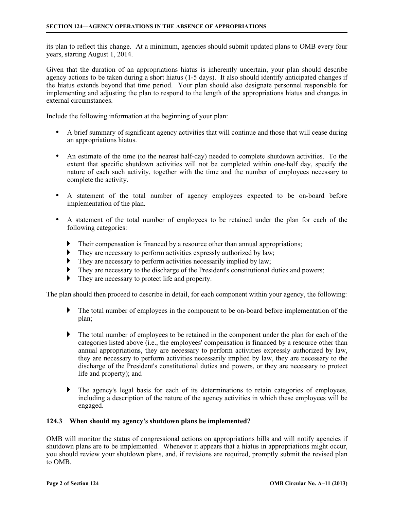its plan to reflect this change. At a minimum, agencies should submit updated plans to OMB every four years, starting August 1, 2014.

Given that the duration of an appropriations hiatus is inherently uncertain, your plan should describe agency actions to be taken during a short hiatus (1-5 days). It also should identify anticipated changes if the hiatus extends beyond that time period. Your plan should also designate personnel responsible for implementing and adjusting the plan to respond to the length of the appropriations hiatus and changes in external circumstances.

Include the following information at the beginning of your plan:

- A brief summary of significant agency activities that will continue and those that will cease during an appropriations hiatus.
- An estimate of the time (to the nearest half-day) needed to complete shutdown activities. To the extent that specific shutdown activities will not be completed within one-half day, specify the nature of each such activity, together with the time and the number of employees necessary to complete the activity.
- A statement of the total number of agency employees expected to be on-board before implementation of the plan.
- A statement of the total number of employees to be retained under the plan for each of the following categories:
	- Their compensation is financed by a resource other than annual appropriations;
	- They are necessary to perform activities expressly authorized by law;
	- They are necessary to perform activities necessarily implied by law;
	- They are necessary to the discharge of the President's constitutional duties and powers;
	- $\blacktriangleright$  They are necessary to protect life and property.

The plan should then proceed to describe in detail, for each component within your agency, the following:

- The total number of employees in the component to be on-board before implementation of the plan;
- The total number of employees to be retained in the component under the plan for each of the categories listed above (i.e., the employees' compensation is financed by a resource other than annual appropriations, they are necessary to perform activities expressly authorized by law, they are necessary to perform activities necessarily implied by law, they are necessary to the discharge of the President's constitutional duties and powers, or they are necessary to protect life and property); and
- The agency's legal basis for each of its determinations to retain categories of employees, including a description of the nature of the agency activities in which these employees will be engaged.

## **124.3 When should my agency's shutdown plans be implemented?**

OMB will monitor the status of congressional actions on appropriations bills and will notify agencies if shutdown plans are to be implemented. Whenever it appears that a hiatus in appropriations might occur, you should review your shutdown plans, and, if revisions are required, promptly submit the revised plan to OMB.